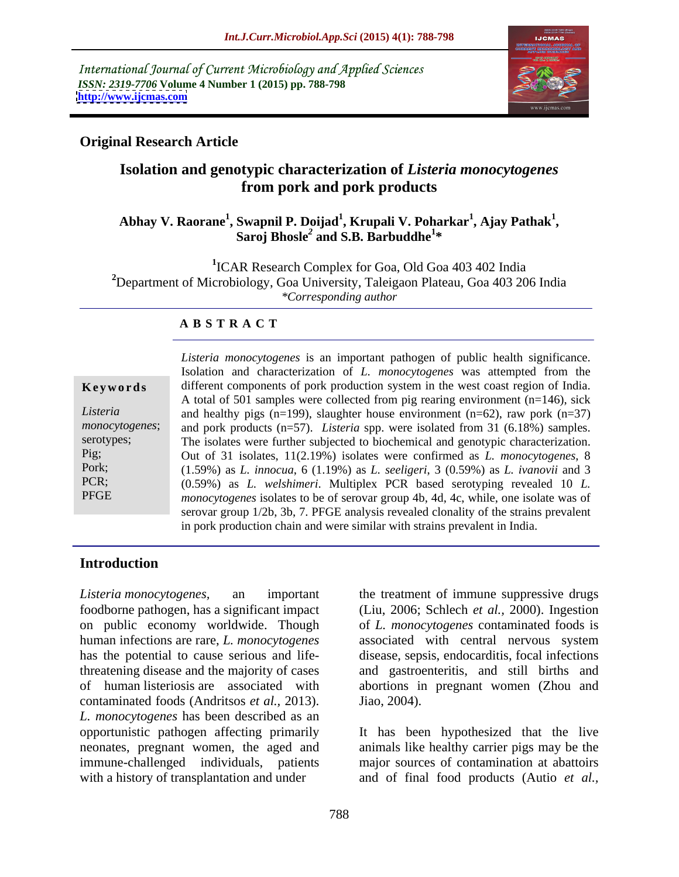International Journal of Current Microbiology and Applied Sciences *ISSN: 2319-7706* **Volume 4 Number 1 (2015) pp. 788-798 <http://www.ijcmas.com>**



### **Original Research Article**

## **Isolation and genotypic characterization of** *Listeria monocytogenes* **from pork and pork products**

### **Abhay V. Raorane<sup>1</sup> , Swapnil P. Doijad<sup>1</sup> , Krupali V. Poharkar<sup>1</sup> , Saroj Bhosle***<sup>2</sup>* **, Ajay Pathak<sup>1</sup> and S.B. Barbuddhe<sup>1</sup> \***

**1** ICAR Research Complex for Goa, Old Goa 403 402 India **<sup>2</sup>**Department of Microbiology, Goa University, Taleigaon Plateau, Goa 403 206 India *\*Corresponding author*

### **A B S T R A C T**

| Keywords       |  |  |  |  |  |  |  |
|----------------|--|--|--|--|--|--|--|
| Listeria       |  |  |  |  |  |  |  |
| monocytogenes; |  |  |  |  |  |  |  |
| serotypes;     |  |  |  |  |  |  |  |
| Pig;           |  |  |  |  |  |  |  |
| Pork;          |  |  |  |  |  |  |  |
| PCR;           |  |  |  |  |  |  |  |
| <b>PFGE</b>    |  |  |  |  |  |  |  |
|                |  |  |  |  |  |  |  |

*Listeria monocytogenes* is an important pathogen of public health significance. Isolation and characterization of *L. monocytogenes* was attempted from the **Keywords** different components of pork production system in the west coast region of India. A total of 501 samples were collected from pig rearing environment (n=146), sick and healthy pigs (n=199), slaughter house environment (n=62), raw pork (n=37) *Listeria*  monocytogenes; and pork products (n=57). *Listeria* spp. were isolated from 31 (6.18%) samples. serotypes; The isolates were further subjected to biochemical and genotypic characterization. Out of 31 isolates, 11(2.19%) isolates were confirmed as *L. monocytogenes*, 8 Pig; (1.59%) as *L. innocua*, 6 (1.19%) as *L. seeligeri*, 3 (0.59%) as *L. ivanovii* and 3 Pork; (0.59%) as *L. welshimeri*. Multiplex PCR based serotyping revealed 10 *L.*  PCR; *monocytogenes* isolates to be of serovar group 4b, 4d, 4c, while, one isolate was of serovar group 1/2b, 3b, 7. PFGE analysis revealed clonality of the strains prevalent in pork production chain and were similar with strains prevalent in India.

### **Introduction**

foodborne pathogen, has a significant impact (Liu, 2006; Schlech *et al.,* 2000). Ingestion on public economy worldwide. Though of *L. monocytogenes* contaminated foods is human infections are rare, *L. monocytogenes* associated with central nervous system has the potential to cause serious and life-disease, sepsis, endocarditis, focal infections threatening disease and the majority of cases and gastroenteritis, and still births and of human listeriosis are associated with abortions in pregnant women (Zhou and contaminated foods (Andritsos *et al.,* 2013). *L. monocytogenes* has been described as an opportunistic pathogen affecting primarily It has been hypothesized that the live neonates, pregnant women, the aged and immune-challenged individuals, patients major sources of contamination at abattoirs

*Listeria monocytogenes,* an important the treatment of immune suppressive drugs Jiao, 2004).

with a history of transplantation and under and of final food products (Autio *et al.,* animals like healthy carrier pigs may be the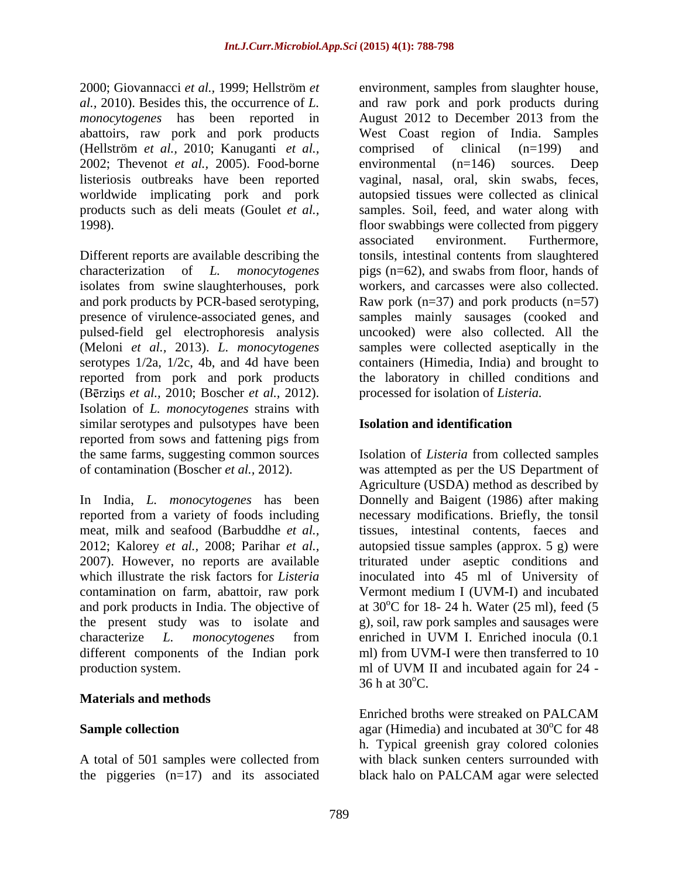2000; Giovannacci *et al.,* 1999; Hellström *et monocytogenes* has been reported in August 2012 to December 2013 from the abattoirs, raw pork and pork products (Hellström *et al.,* 2010; Kanuganti *et al.,* 2002; Thevenot *et al.,* 2005). Food-borne listeriosis outbreaks have been reported

Different reports are available describing the isolates from swine slaughterhouses, pork and pork products by PCR-based serotyping, pulsed-field gel electrophoresis analysis serotypes 1/2a, 1/2c, 4b, and 4d have been (Bērziņs *et al.,* 2010; Boscher *et al.,* 2012). Isolation of *L. monocytogenes* strains with similar serotypes and pulsotypes have been **Isolation and identification** reported from sows and fattening pigs from the same farms, suggesting common sources Isolation of *Listeria* from collected samples of contamination (Boscher *et al.,* 2012). was attempted as per the US Department of

In India, *L. monocytogenes* has been Donnelly and Baigent (1986) after making reported from a variety of foods including necessary modifications. Briefly, the tonsil meat, milk and seafood (Barbuddhe *et al.,* tissues, intestinal contents, faeces and 2012; Kalorey *et al.,* 2008; Parihar *et al.,* autopsied tissue samples (approx. 5 g) were 2007). However, no reports are available triturated under aseptic conditions and which illustrate the risk factors for *Listeria*  inoculated into 45 ml of University of contamination on farm, abattoir, raw pork Vermont medium I (UVM-I) and incubated and pork products in India. The objective of the present study was to isolate and g), soil, raw pork samples and sausages were characterize *L. monocytogenes* from different components of the Indian pork production system.

### **Materials and methods**

the piggeries  $(n=17)$  and its associated black halo on PALCAM agar were selected

*al.,* 2010). Besides this, the occurrence of *L.*  and raw pork and pork products during worldwide implicating pork and pork autopsied tissues were collected as clinical products such as deli meats (Goulet *et al.*, samples. Soil, feed, and water along with 1998). floor swabbings were collected from piggery characterization of *L. monocytogenes* pigs (n=62), and swabs from floor, hands of presence of virulence-associated genes, and samples mainly sausages (cooked and (Meloni *et al.,* 2013). *L. monocytogenes* samples were collected aseptically in the reported from pork and pork products the laboratory in chilled conditions and environment, samples from slaughter house, August 2012 to December 2013 from the West Coast region of India. Samples comprised of clinical (n=199) and environmental (n=146) sources. Deep vaginal, nasal, oral, skin swabs, feces, associated environment. Furthermore, tonsils, intestinal contents from slaughtered workers, and carcasses were also collected. Raw pork  $(n=37)$  and pork products  $(n=57)$ uncooked) were also collected. All the containers (Himedia, India) and brought to processed for isolation of *Listeria.*

### **Isolation and identification**

Agriculture (USDA) method as described by at 30<sup>o</sup>C for 18-24 h. Water (25 ml), feed (5 enriched in UVM I. Enriched inocula (0.1 ml) from UVM-I were then transferred to 10 ml of UVM II and incubated again for 24 -  $36 h$  at  $30^{\circ}$ C.

**Sample collection** agar (Himedia) and incubated at 30<sup>°</sup>C for 48 A total of 501 samples were collected from with black sunken centers surrounded with Enriched broths were streaked on PALCAM h. Typical greenish gray colored colonies black halo on PALCAM agar were selected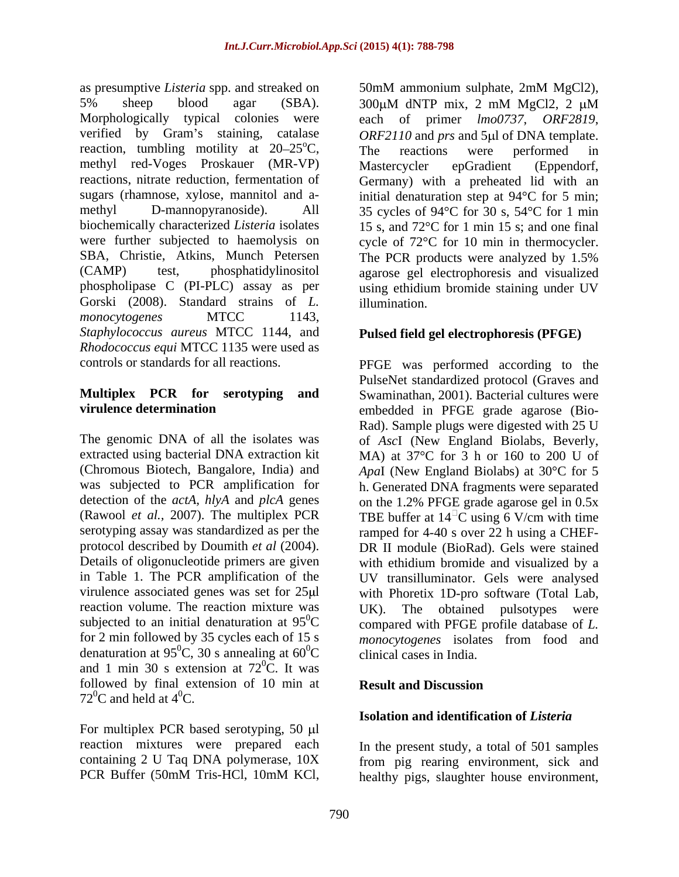as presumptive *Listeria* spp. and streaked on 50mM ammonium sulphate, 2mM MgCl2), 5% sheep blood agar (SBA). 300μM dNTP mix, 2 mM MgCl2, 2 μM Morphologically typical colonies were each of primer *lmo0737*, *ORF2819*, verified by Gram's staining, catalase *ORF2110* and *prs* and 5µl of DNA template. reaction, tumbling motility at  $20-25^{\circ}$ C, The reactions were performed in methyl red-Voges Proskauer (MR-VP) reactions, nitrate reduction, fermentation of Germany) with a preheated lid with an sugars (rhamnose, xylose, mannitol and a- initial denaturation step at 94°C for 5 min; methyl D-mannopyranoside). All 35 cycles of 94°C for 30 s, 54°C for 1 min biochemically characterized *Listeria* isolates were further subjected to haemolysis on eycle of 72°C for 10 min in thermocycler. SBA, Christie, Atkins, Munch Petersen The PCR products were analyzed by 1.5% (CAMP) test, phosphatidylinositol agarose gel electrophoresis and visualized phospholipase C (PI-PLC) assay as per using ethidium bromide staining under UV Gorski (2008). Standard strains of *L*. illumination. *monocytogenes* MTCC 1143, *Staphylococcus aureus* MTCC 1144, and *Rhodococcus equi* MTCC 1135 were used as controls or standards for all reactions.

reaction volume. The reaction mixture was <br>UK). The obtained pulsotypes were denaturation at 95<sup>0</sup>C, 30 s annealing at  $60^{\circ}$ C and 1 min 30 s extension at  $72^{\circ}$ C. It was  ${}^{0}C.$  It was followed by final extension of 10 min at  $72^0C$  and held at  $4^0C$ .

For multiplex PCR based serotyping,  $50 \mu l$ reaction mixtures were prepared each In the present study, a total of 501 samples

50mM ammonium sulphate, 2mM MgCl2),<br>300μM dNTP mix, 2 mM MgCl2, 2 μM The reactions were performed in Mastercycler epGradient (Eppendorf, 15 s, and 72°C for 1 min 15 s; and one final The PCR products were analyzed by 1.5% illumination.

### **Pulsed field gel electrophoresis (PFGE)**

controls or standards for all reactions. PFGE was performed according to the **Multiplex PCR for serotyping and** Swaminathan, 2001). Bacterial cultures were **virulence determination** embedded in PFGE grade agarose (Bio- The genomic DNA of all the isolates was of *Asc*I (New England Biolabs, Beverly, extracted using bacterial DNA extraction kit MA) at 37°C for 3 h or 160 to 200 U of (Chromous Biotech, Bangalore, India) and *Apa*I (New England Biolabs) at 30°C for 5 was subjected to PCR amplification for h. Generated DNA fragments were separated detection of the *actA, hlyA* and *plcA* genes on the 1.2% PFGE grade agarose gel in 0.5x (Rawool *et al.*, 2007). The multiplex PCR TBE buffer at  $14^{\circ}$ C using 6 V/cm with time serotyping assay was standardized as per the ramped for 4-40 s over 22 h using a CHEFprotocol described by Doumith *et al* (2004). DR II module (BioRad). Gels were stained Details of oligonucleotide primers are given with ethidium bromide and visualized by a in Table 1. The PCR amplification of the UV transilluminator. Gels were analysed virulence associated genes was set for 25µl with Phoretix 1D-pro software (Total Lab, subjected to an initial denaturation at  $95^{\circ}$ C compared with PFGE profile database of *L*. for 2 min followed by 35 cycles each of 15 s *monocytogenes* isolates from food and  ${}^{0}C$ , 30 s annealing at 60 ${}^{0}C$  clinical cases in India. <sup>0</sup>C clinical cases in India. PulseNet standardized protocol (Graves and Rad). Sample plugs were digested with 25 U UK). The obtained pulsotypes were

### **Result and Discussion**

### **Isolation and identification of** *Listeria*

containing 2 U Taq DNA polymerase, 10X from pig rearing environment, sick and PCR Buffer (50mM Tris-HCl, 10mM KCl, healthy pigs, slaughter house environment,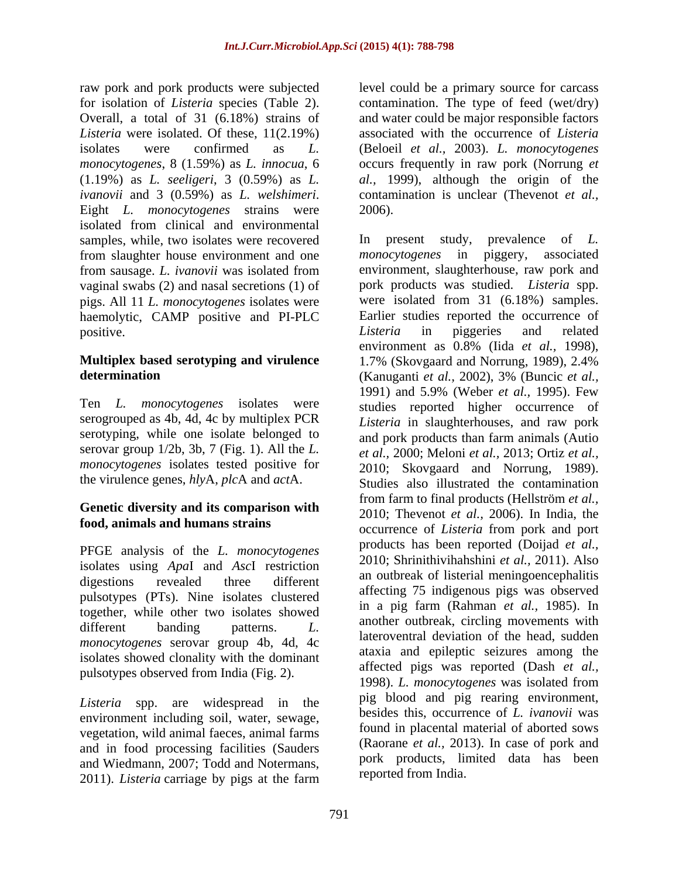raw pork and pork products were subjected level could be a primary source for carcass for isolation of *Listeria* species (Table 2). contamination. The type of feed (wet/dry) Overall, a total of 31 (6.18%) strains of and water could be major responsible factors *Listeria* were isolated. Of these, 11(2.19%) associated with the occurrence of *Listeria*  isolates were confirmed as *L.*  (Beloeil *et al.,* 2003). *L. monocytogenes monocytogenes*, 8 (1.59%) as *L. innocua*, 6 occurs frequently in raw pork (Norrung *et*  (1.19%) as *L. seeligeri*, 3 (0.59%) as *L. al.,* 1999), although the origin of the *ivanovii* and 3 (0.59%) as *L. welshimeri*. contamination is unclear (Thevenot *et al.*, Eight *L. monocytogenes* strains were 2006). isolated from clinical and environmental samples, while, two isolates were recovered line present study, prevalence of L. from slaughter house environment and one from sausage. *L. ivanovii* was isolated from vaginal swabs (2) and nasal secretions (1) of pigs. All 11 *L. monocytogenes* isolates were haemolytic, CAMP positive and PI-PLC

# **Multiplex based serotyping and virulence**

Ten *L. monocytogenes* isolates were serogrouped as 4b, 4d, 4c by multiplex PCR serotyping, while one isolate belonged to serovar group 1/2b, 3b, 7 (Fig. 1). All the *L.*  the virulence genes, *hly*A, *plc*A and *act*A.

### **Genetic diversity and its comparison with food, animals and humans strains**

PFGE analysis of the *L. monocytogenes* isolates using *Apa*I and *Asc*I restriction pulsotypes (PTs). Nine isolates clustered together, while other two isolates showed *monocytogenes* serovar group 4b, 4d, 4c isolates showed clonality with the dominant pulsotypes observed from India (Fig. 2).

environment including soil, water, sewage, vegetation, wild animal faeces, animal farms and in food processing facilities (Sauders and Wiedmann, 2007; Todd and Notermans, 2011). *Listeria* carriage by pigs at the farm contamination is unclear (Thevenot *et al.,* 2006).

positive. The positive contract in piggeries and related positive. **determination** (Kanuganti *et al.,* 2002), 3% (Buncic *et al., monocytogenes* isolates tested positive for 2010; Skovgaard and Norrung, 1989). digestions revealed three different and outbreak of instead incomponent priarius different banding patterns. *L*. allowed banding patterns and allowed a latter of the latter of the latterns of the latterns of the latterns of the latterns of the latterns of the latterns of the latterns of the latterns o Listeria spp. are widespread in the last plane and plane rearing environment, In present study, prevalence of *L. monocytogenes* in piggery, associated environment, slaughterhouse, raw pork and pork products was studied. *Listeria* spp. were isolated from 31 (6.18%) samples. Earlier studies reported the occurrence of *Listeria* in piggeries and related environment as 0.8% (Iida *et al.,* 1998), 1.7% (Skovgaard and Norrung, 1989), 2.4% 1991) and 5.9% (Weber *et al.,* 1995). Few studies reported higher occurrence of *Listeria* in slaughterhouses, and raw pork and pork products than farm animals (Autio *et al.,* 2000; Meloni *et al.,* 2013; Ortiz *et al.,* Studies also illustrated the contamination from farm to final products (Hellström *et al.,*  2010; Thevenot *et al.,* 2006). In India, the occurrence of *Listeria* from pork and port products has been reported (Doijad *et al.,* 2010; Shrinithivihahshini *et al.,* 2011). Also an outbreak of listerial meningoencephalitis affecting 75 indigenous pigs was observed in a pig farm (Rahman *et al.,* 1985). In another outbreak, circling movements with lateroventral deviation of the head, sudden ataxia and epileptic seizures among the affected pigs was reported (Dash *et al.,* 1998). *L. monocytogenes* was isolated from pig blood and pig rearing environment, besides this, occurrence of *L. ivanovii* was found in placental material of aborted sows (Raorane *et al.,* 2013). In case of pork and pork products, limited data has been reported from India.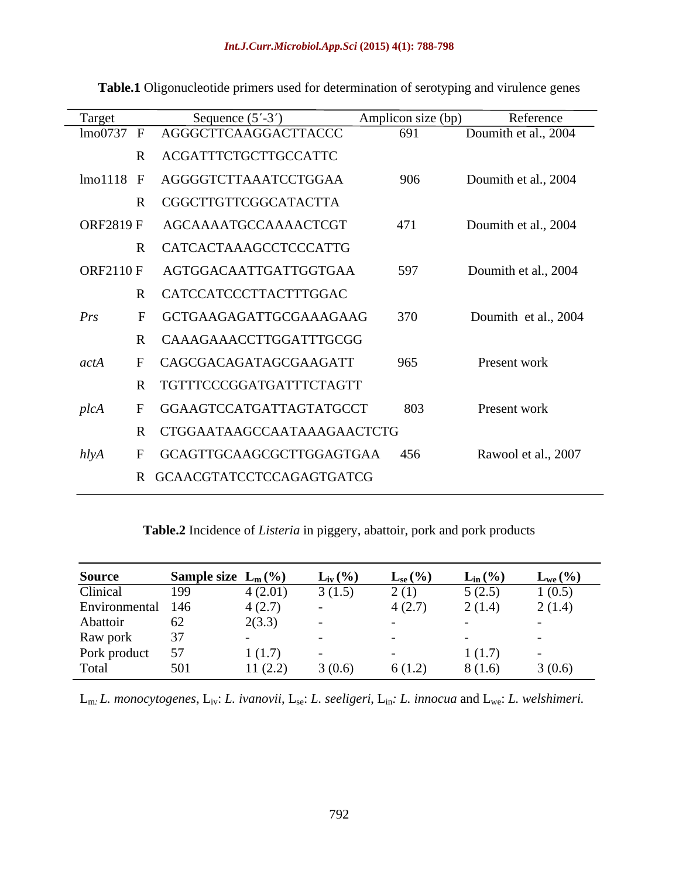| Target           | Sequence $(5'$ -3')          | Amplicon size (bp) | Reference            |
|------------------|------------------------------|--------------------|----------------------|
| lmo0737          | AGGGCTTCAAGGACTTACCC         | 691                | Doumith et al., 2004 |
|                  | R ACGATTTCTGCTTGCCATTC       |                    |                      |
| $lmo1118$ F      | AGGGGTCTTAAATCCTGGAA         | 906                | Doumith et al., 2004 |
|                  | R CGGCTTGTTCGGCATACTTA       |                    |                      |
| <b>ORF2819 F</b> | AGCAAAATGCCAAAACTCGT         | 471                | Doumith et al., 2004 |
|                  | R CATCACTAAAGCCTCCCATTG      |                    |                      |
| <b>ORF2110 F</b> | AGTGGACAATTGATTGGTGAA        | 597                | Doumith et al., 2004 |
|                  | R CATCCATCCCTTACTTTGGAC      |                    |                      |
| Prs              | GCTGAAGAGATTGCGAAAGAAG       | 370                | Doumith et al., 2004 |
|                  | CAAAGAAACCTTGGATTTGCGG       |                    |                      |
| actA             | CAGCGACAGATAGCGAAGATT        | 965                | Present work         |
|                  | R TGTTTCCCGGATGATTTCTAGTT    |                    |                      |
| plcA             | GGAAGTCCATGATTAGTATGCCT      | 803                | Present work         |
|                  | R CTGGAATAAGCCAATAAAGAACTCTG |                    |                      |
| h l y A          | GCAGTTGCAAGCGCTTGGAGTGAA 456 |                    | Rawool et al., 2007  |
|                  |                              |                    |                      |

**Table.1** Oligonucleotide primers used for determination of serotyping and virulence genes

**Table.2** Incidence of *Listeria* in piggery, abattoir, pork and pork products

| <b>Source</b> | Sample size $L_m(\%)$ |         | $L_{\text{iv}}(\%)$      | $L_{se}(\%)$ | $L_{in}$ (%) | $L_{we}(\%)$ |
|---------------|-----------------------|---------|--------------------------|--------------|--------------|--------------|
| Clinical      | 199                   | 4(2.01) | 3(1.5)                   | 2(1)         | 5(2.5)       | (0.5)        |
| Environmental | 146                   | 4(2.7)  | $\sim$                   | 4(2.7)       | 2(1.4)       | 2(1.4)       |
| Abattoir      | 62                    | 2(3.3)  | $\sim$                   |              |              |              |
| Raw pork      | 37                    |         | $\overline{\phantom{0}}$ |              |              |              |
| Pork product  | 57                    | (1.7)   | $\overline{\phantom{0}}$ |              | (1.7)        | $-$          |
| Total         | 501                   | 11(2.2) | 3(0.6)                   | 6(1.2)       | 8(1.6)       | 3(0.6)       |

Lm*: L. monocytogenes*, Liv: *L. ivanovii*, Lse: *L. seeligeri*, Lin*: L. innocua* and Lwe: *L. welshimeri.*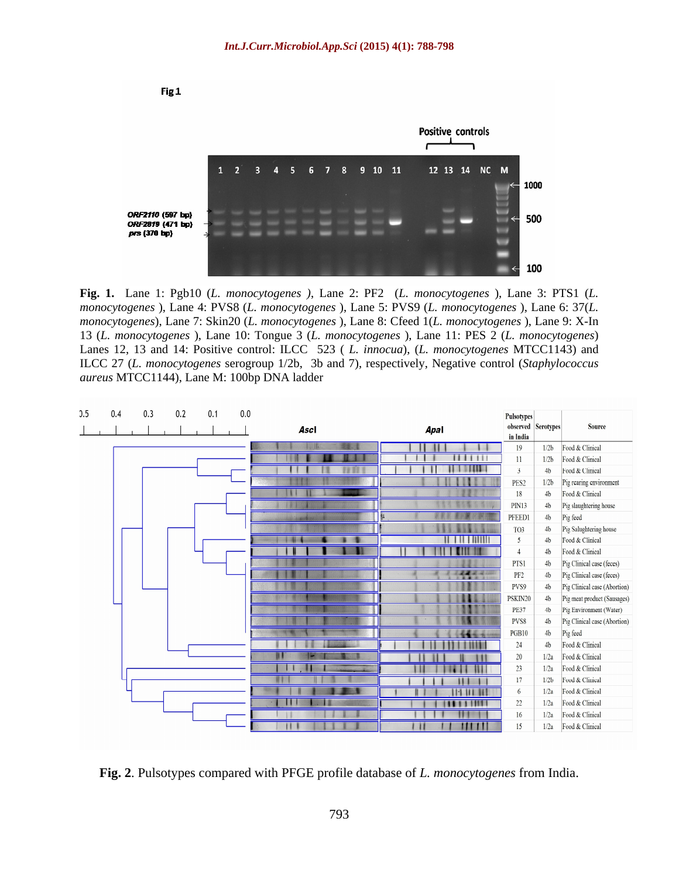

**Fig. 1.** Lane 1: Pgb10 (*L. monocytogenes )*, Lane 2: PF2 (*L. monocytogenes* ), Lane 3: PTS1 (*L. monocytogenes* ), Lane 4: PVS8 (*L. monocytogenes* ), Lane 5: PVS9 (*L. monocytogenes* ), Lane 6:37(*L. monocytogenes*), Lane 7: Skin20 (*L. monocytogenes* ), Lane 8: Cfeed 1(*L. monocytogenes* ), Lane 9: X-In 13 (*L. monocytogenes* ), Lane 10: Tongue 3 (*L. monocytogenes* ), Lane 11: PES 2 (*L. monocytogenes*) Lanes 12, 13 and 14: Positive control: ILCC 523 ( *L. innocua*), (*L. monocytogenes* MTCC1143) and ILCC 27 (*L. monocytogenes* serogroup 1/2b, 3b and 7), respectively, Negative control (*Staphylococcus aureus* MTCC1144), Lane M: 100bp DNA ladder

| 0.5 | 0.4 | 0.3 | 0.2 | 0.1 | 0.0 | Ascl | Apal              | Pulsotypes<br>in India | observed Serotypes | <b>Source</b>                |
|-----|-----|-----|-----|-----|-----|------|-------------------|------------------------|--------------------|------------------------------|
|     |     |     |     |     |     |      |                   | 19                     | 1/2 <sub>b</sub>   | Food & Clinical              |
|     |     |     |     |     |     |      |                   | 11                     | 1/2b               | Food & Clinical              |
|     |     |     |     |     |     |      |                   | $\overline{3}$         | 4 <sub>b</sub>     | Food & Clinical              |
|     |     |     |     |     |     |      |                   | PES <sub>2</sub>       | 1/2b               | Pig rearing environment      |
|     |     |     |     |     |     | х    |                   | 18                     | 4 <sub>b</sub>     | Food & Clinical              |
|     |     |     |     |     |     |      |                   | <b>PIN13</b>           | 4 <sub>b</sub>     | Pig slaughtering house       |
|     |     |     |     |     |     |      | Tb                | PFEED1                 | 4 <sub>b</sub>     | Pig feed                     |
|     |     |     |     |     |     |      |                   | TO3                    | 4 <sub>b</sub>     | Pig Salughtering house       |
|     |     |     |     |     |     |      |                   | $5\overline{)}$        | 4 <sub>b</sub>     | Food & Clinical              |
|     |     |     |     |     |     |      |                   | $\overline{4}$         | 4 <sub>b</sub>     | Food & Clinical              |
|     |     |     |     |     |     |      |                   | PTS1                   | 4 <sub>b</sub>     | Pig Clinical case (feces)    |
|     |     |     |     |     |     |      | 38.92.20          | PF <sub>2</sub>        | 4 <sub>b</sub>     | Pig Clinical case (feces)    |
|     |     |     |     |     |     |      |                   | PVS9                   | 4 <sub>b</sub>     | Pig Clinical case (Abortion) |
|     |     |     |     |     |     |      |                   | PSKIN20                | 4 <sub>b</sub>     | Pig meat product (Sausages)  |
|     |     |     |     |     |     |      |                   | <b>PE37</b>            | 4 <sub>b</sub>     | Pig Environment (Water)      |
|     |     |     |     |     |     |      | . .               | PVS8                   | 4 <sub>b</sub>     | Pig Clinical case (Abortion) |
|     |     |     |     |     |     |      | <b>STATISTICS</b> | PGB10                  | 4 <sub>b</sub>     | Pig feed                     |
|     |     |     |     |     |     |      |                   | 24                     | 4 <sub>b</sub>     | Food & Clinical              |
|     |     |     |     |     |     |      |                   | 20                     | 1/2a               | Food & Clinical              |
|     |     |     |     |     |     |      |                   | 23                     | 1/2a               | Food & Clinical              |
|     |     |     |     |     |     |      |                   | 17                     | 1/2 <sub>b</sub>   | Food & Clinical              |
|     |     |     |     |     |     |      |                   | 6                      | 1/2a               | Food & Clinical              |
|     |     |     |     |     |     | п    |                   | 22                     | 1/2a               | Food & Clinical              |
|     |     |     |     |     |     |      |                   | 16                     | 1/2a               | Food & Clinical              |
|     |     |     |     |     |     |      |                   | 15                     | 1/2a               | Food & Clinical              |

**Fig. 2**. Pulsotypes compared with PFGE profile database of *L. monocytogenes* from India.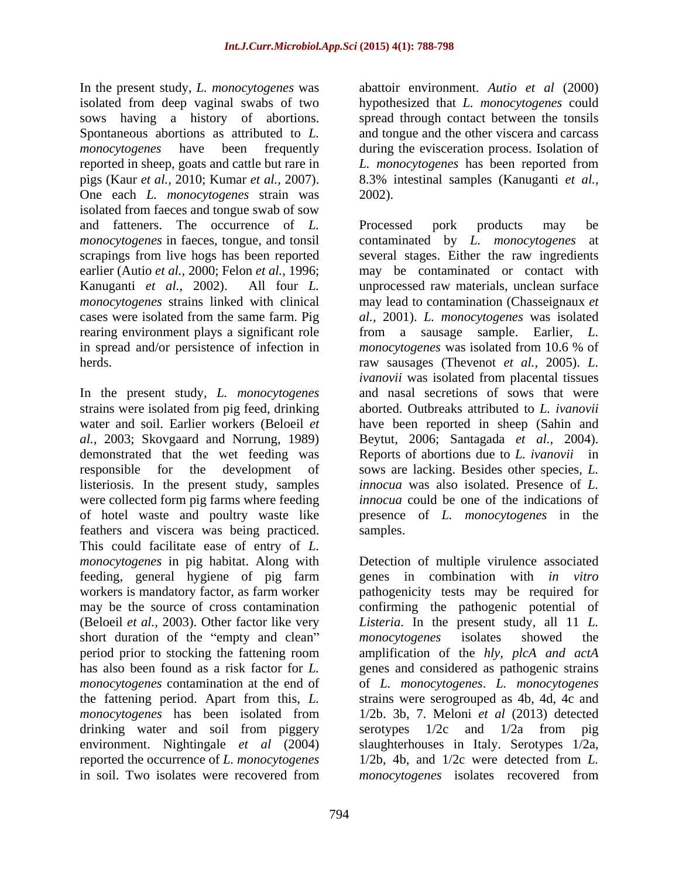In the present study, *L. monocytogenes* was isolated from deep vaginal swabs of two hypothesized that *L. monocytogenes* could sows having a history of abortions. Spontaneous abortions as attributed to *L*. and tongue and the other viscera and carcass *monocytogenes* have been frequently during the evisceration process. Isolation of reported in sheep, goats and cattle but rare in pigs (Kaur *et al.,* 2010; Kumar *et al.,* 2007). 8.3% intestinal samples (Kanuganti *et al.,* One each *L. monocytogenes* strain was isolated from faeces and tongue swab of sow and fatteners. The occurrence of *L*. Processed pork products may be *monocytogenes* in faeces, tongue, and tonsil contaminated by L. *monocytogenes* at

In the present study, *L. monocytogenes* demonstrated that the wet feeding was listeriosis. In the present study, samples were collected form pig farms where feeding feathers and viscera was being practiced. This could facilitate ease of entry of *L.*  feeding, general hygiene of pig farm short duration of the "empty and clean" monocytogenes isolates showed the *monocytogenes* has been isolated from drinking water and soil from piggery serotypes  $1/2c$  and  $1/2a$  from pig environment. Nightingale *et al* (2004) reported the occurrence of *L. monocytogenes* in soil. Two isolates were recovered from monocytogenes isolates recovered from

abattoir environment. *Autio et al* (2000) spread through contact between the tonsils *L. monocytogenes* has been reported from 2002).

scrapings from live hogs has been reported several stages. Either the raw ingredients earlier (Autio *et al.,* 2000; Felon *et al.,* 1996; may be contaminated or contact with Kanuganti *et al.,* 2002). All four *L.*  unprocessed raw materials, unclean surface *monocytogenes* strains linked with clinical may lead to contamination (Chasseignaux *et*  cases were isolated from the same farm. Pig *al.,* 2001). *L. monocytogenes* was isolated rearing environment plays a significant role from a sausage sample. Earlier, *L.*  in spread and/or persistence of infection in *monocytogenes* was isolated from 10.6 % of herds. raw sausages (Thevenot *et al.,* 2005). *L.*  strains were isolated from pig feed, drinking aborted. Outbreaks attributed to *L. ivanovii* water and soil. Earlier workers (Beloeil *et*  have been reported in sheep (Sahin and *al.,* 2003; Skovgaard and Norrung, 1989) Beytut, 2006; Santagada *et al.,* 2004). responsible for the development of sows are lacking. Besides other species, *L.*  of hotel waste and poultry waste like presence of *L. monocytogenes* in the Processed pork products may be contaminated by *L. monocytogenes ivanovii* was isolated from placental tissues and nasal secretions of sows that were Reports of abortions due to *L. ivanovii* in *innocua* was also isolated. Presence of *L. innocua* could be one of the indications of samples.

*monocytogenes* in pig habitat. Along with Detection of multiple virulence associated workers is mandatory factor, as farm worker pathogenicity tests may be required for may be the source of cross contamination confirming the pathogenic potential of (Beloeil *et al.,* 2003). Other factor like very *Listeria*. In the present study, all 11 *L.*  period prior to stocking the fattening room amplification of the *hly, plcA and actA* has also been found as a risk factor for *L.*  genes and considered as pathogenic strains *monocytogenes* contamination at the end of of *L. monocytogenes*. *L. monocytogenes* the fattening period. Apart from this, *L.*  strains were serogrouped as 4b,4d, 4c and reported the occurrence of *L. monocytogenes* 1/2b, 4b, and 1/2c were detected from *L.*  genes in combination with *in vitro monocytogenes* isolates showed the 1/2b. 3b, 7. Meloni *et al* (2013) detected serotypes 1/2c and 1/2a from pig slaughterhouses in Italy. Serotypes 1/2a, *monocytogenes* isolates recovered from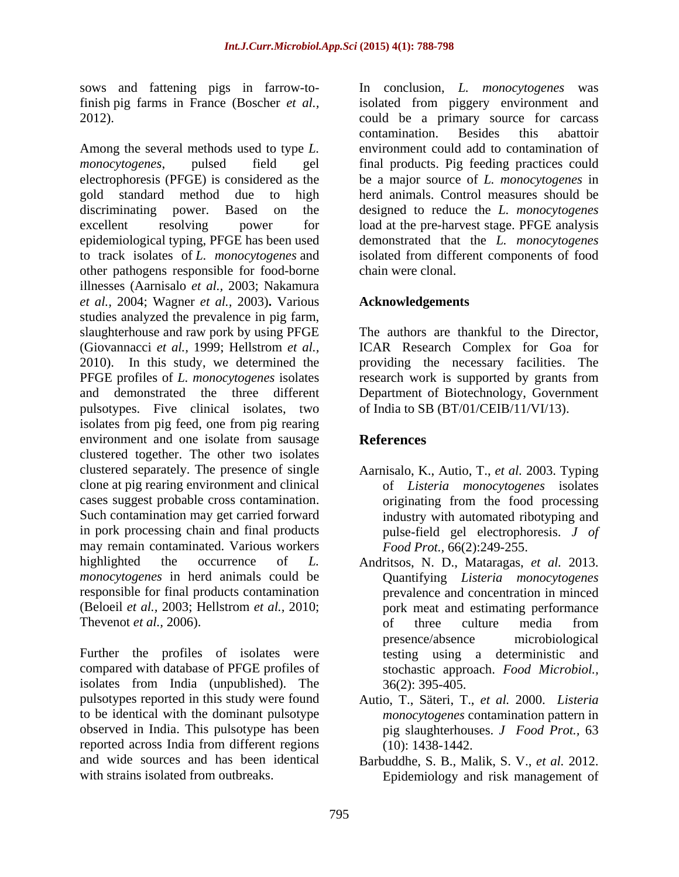sows and fattening pigs in farrow-to-<br>In conclusion, L. monocytogenes was

Among the several methods used to type *L. monocytogenes*, pulsed field gel final products. Pig feeding practices could electrophoresis (PFGE) is considered as the be a major source of *L. monocytogenes* in gold standard method due to high herd animals. Control measures should be discriminating power. Based on the designed to reduce the *L. monocytogenes* excellent resolving power for load at the pre-harvest stage. PFGE analysis epidemiological typing, PFGE has been used demonstrated that the *L. monocytogenes* to track isolates of *L. monocytogenes* and isolated from different components of food other pathogens responsible for food-borne illnesses (Aarnisalo *et al.,* 2003; Nakamura *et al.,* 2004; Wagner *et al.,* 2003)**.** Various studies analyzed the prevalence in pig farm, slaughterhouse and raw pork by using PFGE (Giovannacci *et al.,* 1999; Hellstrom *et al.,* ICAR Research Complex for Goa for 2010). In this study, we determined the providing the necessary facilities. The PFGE profiles of *L. monocytogenes* isolates research work is supported by grants from and demonstrated the three different Department of Biotechnology, Government pulsotypes. Five clinical isolates, two isolates from pig feed, one from pig rearing environment and one isolate from sausage References clustered together. The other two isolates clustered separately. The presence of single Aarnisalo, K., Autio, T., *et al.* 2003. Typing clone at pig rearing environment and clinical cases suggest probable cross contamination. originating from the food processing Such contamination may get carried forward in pork processing chain and final products pulse-field gel electrophoresis. *J of* may remain contaminated. Various workers highlighted the occurrence of *L.*  Andritsos, N. D., Mataragas, *et al.* 2013. *monocytogenes* in herd animals could be Quantifying *Listeria monocytogenes* responsible for final products contamination (Beloeil *et al.,* 2003; Hellstrom *et al.,* 2010; Thevenot *et al.*, 2006). The of three culture media from

Further the profiles of isolates were testing using a deterministic and compared with database of PFGE profiles of isolates from India (unpublished). The pulsotypes reported in this study were found Autio, T., Säteri, T., *et al.* 2000. *Listeria* to be identical with the dominant pulsotype observed in India. This pulsotype has been reported across India from different regions and wide sources and has been identical Barbuddhe, S. B., Malik, S. V., *et al.* 2012.

finish pig farms in France (Boscher *et al.,* isolated from piggery environment and 2012). could be a primary source for carcass In conclusion, *L. monocytogenes* contamination. Besides this abattoir environment could add to contamination of chain were clonal.

### **Acknowledgements**

The authors are thankful to the Director, of India to SB (BT/01/CEIB/11/VI/13).

## **References**

- of *Listeria monocytogenes* isolates industry with automated ribotyping and *Food Prot.,* 66(2):249-255.
- prevalence and concentration in minced pork meat and estimating performance of three culture media from presence/absence microbiological stochastic approach. *Food Microbiol.,* 36(2): 395-405.
- *monocytogenes* contamination pattern in pig slaughterhouses. *J Food Prot.,* 63 (10): 1438-1442.
- with strains isolated from outbreaks. Epidemiology and risk management of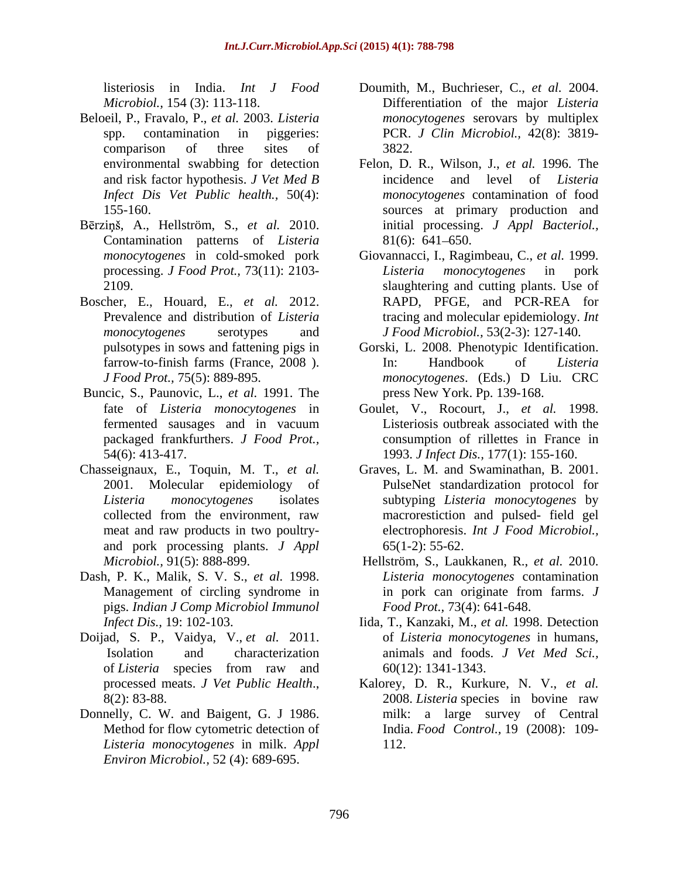- Beloeil, P., Fravalo, P., *et al.* 2003. *Listeria*  and risk factor hypothesis. *J Vet Med B*
- Bērziņš, A., Hellström, S., et al. 2010. Contamination patterns of *Listeria*
- Boscher, E., Houard, E., *et al.* 2012.
- Buncic, S., Paunovic, L., *et al.* 1991. The
- Chasseignaux, E., Toquin, M. T., *et al.* and pork processing plants. *J Appl*
- Dash, P. K., Malik, S. V. S., *et al.* 1998. pigs. *Indian J Comp Microbiol Immunol*
- Doijad, S. P., Vaidya, V., *et al.* 2011.
- Donnelly, C. W. and Baigent, G. J 1986. *Listeria monocytogenes* in milk. *Appl Environ Microbiol.,* 52 (4): 689-695.
- listeriosis in India. *Int J Food* Doumith, M., Buchrieser, C., *et al.* 2004. *Microbiol.,* 154 (3): 113-118. Differentiation of the major *Listeria*  spp. contamination in piggeries: PCR. *J Clin Microbiol.,* 42(8): 3819 comparison of three sites of 3822. *monocytogenes* serovars by multiplex 3822.
- environmental swabbing for detection Felon, D. R., Wilson, J., *et al.* 1996. The *Infect Dis Vet Public health.,* 50(4): *monocytogenes* contamination of food 155-160. sources at primary production and incidence and level of *Listeria* initial processing. *J Appl Bacteriol.,* 81(6): 641 650.
- *monocytogenes* in cold-smoked pork Giovannacci, I., Ragimbeau, C., *et al.* 1999. processing. *J Food Prot.,* 73(11): 2103- 2109. slaughtering and cutting plants. Use of Prevalence and distribution of *Listeria*  tracing and molecular epidemiology. *Int monocytogenes* serotypes and *J Food Microbiol.,* 53(2-3): 127-140. *Listeria monocytogenes* in pork RAPD, PFGE, and PCR-REA for
- pulsotypes in sows and fattening pigs in farrow-to-finish farms (France, 2008). In: Handbook of Listeria *J Food Prot.,* 75(5): 889-895. *monocytogenes*. (Eds.) D Liu. CRC Gorski, L. 2008. Phenotypic Identification. In: Handbook of *Listeria* press New York. Pp. 139-168.
- fate of *Listeria monocytogenes* in Goulet, V., Rocourt, J., *et al.* 1998. fermented sausages and in vacuum packaged frankfurthers. *J Food Prot.,* consumption of rillettes in France in 54(6): 413-417. 1993. *J Infect Dis.,* 177(1): 155-160. Listeriosis outbreak associated with the
- 2001. Molecular epidemiology of PulseNet standardization protocol for *Listeria monocytogenes* isolates subtyping *Listeria monocytogenes* by collected from the environment, raw macrorestiction and pulsed- field gel meat and raw products in two poultry- electrophoresis. *Int J Food Microbiol.,* Graves, L. M. and Swaminathan, B. 2001. 65(1-2): 55-62.
- *Microbiol.,* 91(5): 888-899. Hellström, S., Laukkanen, R., *et al.* 2010. Management of circling syndrome in in pork can originate from farms. J *Listeria monocytogenes* contamination in pork can originate from farms. *J Food Prot.,* 73(4): 641-648.
- *Infect Dis.,* 19: 102-103. Iida, T., Kanzaki, M., *et al.* 1998. Detection Isolation and characterization animals and foods. *J Vet Med Sci.,* of *Listeria* species from raw and of *Listeria monocytogenes* in humans, 60(12): 1341-1343.
- processed meats. *J Vet Public Health.*, Kalorey, D. R., Kurkure, N. V., *et al.* 8(2): 83-88. 2008. *Listeria* species in bovine raw Method for flow cytometric detection of India. *Food Control.,* 19 (2008): 109- Kalorey, D. R., Kurkure, N. V., *et al.* 2008. *Listeria* species in bovine raw milk: a large survey of Central 112.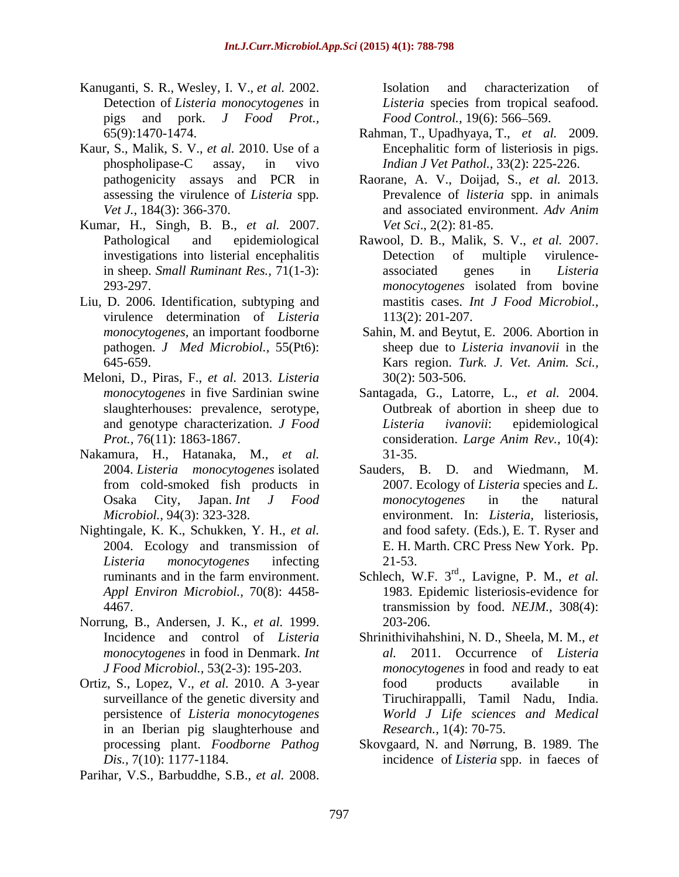- Kanuganti, S. R., Wesley, I. V., *et al.* 2002. Detection of *Listeria monocytogenes* in *Listeria* species from tropical seafood. pigs and pork. *J Food Prot.,*
- Kaur, S., Malik, S. V., *et al.* 2010. Use of a
- Kumar, H., Singh, B. B., *et al.* 2007.
- Liu, D. 2006. Identification, subtyping and virulence determination of *Listeria*
- Meloni, D., Piras, F., *et al.* 2013. *Listeria*
- Nakamura, H., Hatanaka, M., *et al.*
- Nightingale, K. K., Schukken, Y. H., *et al.*
- Norrung, B., Andersen, J. K., *et al.* 1999. *monocytogenes* in food in Denmark. *Int*
- in an Iberian pig slaughterhouse and
- Parihar, V.S., Barbuddhe, S.B., *et al.* 2008.

Isolation and characterization of *Food Control.,* 19(6): 566–569.

- 65(9):1470-1474. Rahman, T., Upadhyaya, T., *et al.* 2009. phospholipase-C assay, in vivo *Indian J Vet Pathol.,* 33(2): 225-226. Encephalitic form of listeriosis in pigs.
- pathogenicity assays and PCR in Raorane, A. V., Doijad, S., *et al.* 2013. assessing the virulence of *Listeria* spp. <br>Vet J., 184(3): 366-370. <br>and associated environment. Adv Anim Prevalence of *listeria* spp. in animals and associated environment. *Adv Anim Vet Sci*., 2(2): 81-85.
- Pathological and epidemiological Rawool, D. B., Malik, S. V., *et al.* 2007. investigations into listerial encephalitis in sheep. *Small Ruminant Res.,* 71(1-3): 293-297. *monocytogenes* isolated from bovine Detection of multiple virulence associated genes in *Listeria*  mastitis cases. *Int J Food Microbiol.,* 113(2): 201-207.
- *monocytogenes,* an important foodborne Sahin, M. and Beytut, E. 2006. Abortion in pathogen. *J Med Microbiol.,* 55(Pt6): sheep due to *Listeria invanovii* in the 645-659. Kars region. *Turk. J. Vet. Anim. Sci.,* 30(2): 503-506.
- *monocytogenes* in five Sardinian swine Santagada, G., Latorre, L., *et al.* 2004. slaughterhouses: prevalence, serotype, Outbreak of abortion in sheep due to and genotype characterization. *J Food Prot.,* 76(11): 1863-1867. consideration. *Large Anim Rev.,* 10(4): *Listeria ivanovii*: epidemiological 31-35.
- 2004. *Listeria monocytogenes* isolated Sauders, B. D. and Wiedmann, M. from cold-smoked fish products in 2007. Ecology of *Listeria* species and *L.*  Osaka City, Japan. *Int J Food Microbiol.,* 94(3): 323-328. environment. In: *Listeria,* listeriosis, 2004. Ecology and transmission of E. H. Marth. CRC Press New York. Pp. *Listeria monocytogenes* infecting *monocytogenes* in the natural and food safety*.* (Eds.), E. T. Ryser and 21-53.
- ruminants and in the farm environment. Schlech, W.F. 3<sup>rd</sup>., Lavigne, P. M., *et al. Appl Environ Microbiol.,* 70(8): 4458- 1983. Epidemic listeriosis-evidence for 4467. transmission by food. *NEJM.,* 308(4): 203-206.
- Incidence and control of *Listeria*  Shrinithivihahshini, N. D., Sheela, M. M., *et J Food Microbiol.,* 53(2-3): 195-203. *monocytogenes* in food and ready to eat Ortiz, S., Lopez, V., *et al.* 2010. A 3-year surveillance of the genetic diversity and Tiruchirappalli, Tamil Nadu, India. persistence of *Listeria monocytogenes World J Life sciences and Medical al.* 2011. Occurrence of *Listeria*  food products available in *Research.,* 1(4): 70-75.
	- processing plant. *Foodborne Pathog* Skovgaard, N. and Nørrung, B. 1989. The *Dis.,* 7(10): 1177-1184. incidence of *Listeria* spp. in faeces of